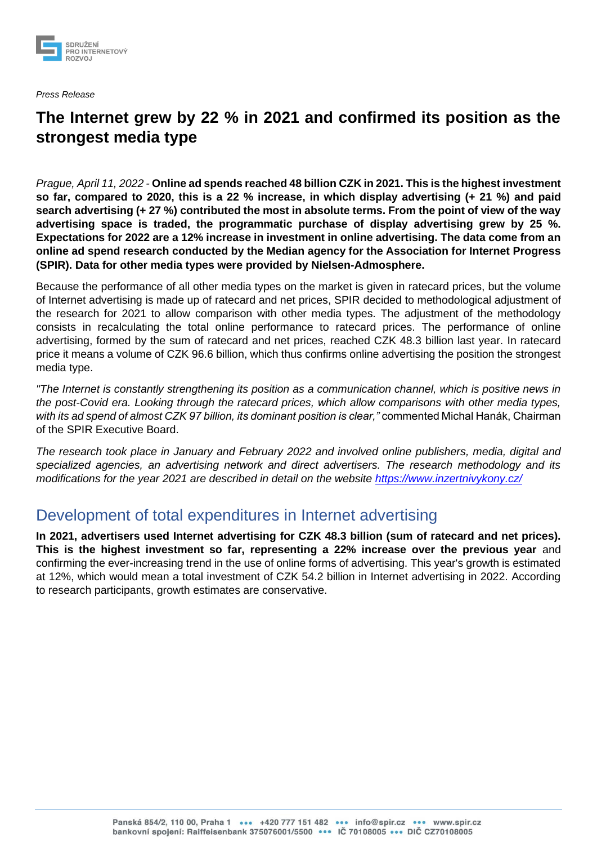

*Press Release*

# **The Internet grew by 22 % in 2021 and confirmed its position as the strongest media type**

*Prague, April 11, 2022 -* **Online ad spends reached 48 billion CZK in 2021. This is the highest investment so far, compared to 2020, this is a 22 % increase, in which display advertising (+ 21 %) and paid search advertising (+ 27 %) contributed the most in absolute terms. From the point of view of the way advertising space is traded, the programmatic purchase of display advertising grew by 25 %. Expectations for 2022 are a 12% increase in investment in online advertising. The data come from an online ad spend research conducted by the Median agency for the Association for Internet Progress (SPIR). Data for other media types were provided by Nielsen-Admosphere.**

Because the performance of all other media types on the market is given in ratecard prices, but the volume of Internet advertising is made up of ratecard and net prices, SPIR decided to methodological adjustment of the research for 2021 to allow comparison with other media types. The adjustment of the methodology consists in recalculating the total online performance to ratecard prices. The performance of online advertising, formed by the sum of ratecard and net prices, reached CZK 48.3 billion last year. In ratecard price it means a volume of CZK 96.6 billion, which thus confirms online advertising the position the strongest media type.

*"The Internet is constantly strengthening its position as a communication channel, which is positive news in the post-Covid era. Looking through the ratecard prices, which allow comparisons with other media types, with its ad spend of almost CZK 97 billion, its dominant position is clear,"* commented Michal Hanák, Chairman of the SPIR Executive Board.

*The research took place in January and February 2022 and involved online publishers, media, digital and specialized agencies, an advertising network and direct advertisers. The research methodology and its modifications for the year 2021 are described in detail on the website<https://www.inzertnivykony.cz/>*

### Development of total expenditures in Internet advertising

**In 2021, advertisers used Internet advertising for CZK 48.3 billion (sum of ratecard and net prices). This is the highest investment so far, representing a 22% increase over the previous year** and confirming the ever-increasing trend in the use of online forms of advertising. This year's growth is estimated at 12%, which would mean a total investment of CZK 54.2 billion in Internet advertising in 2022. According to research participants, growth estimates are conservative.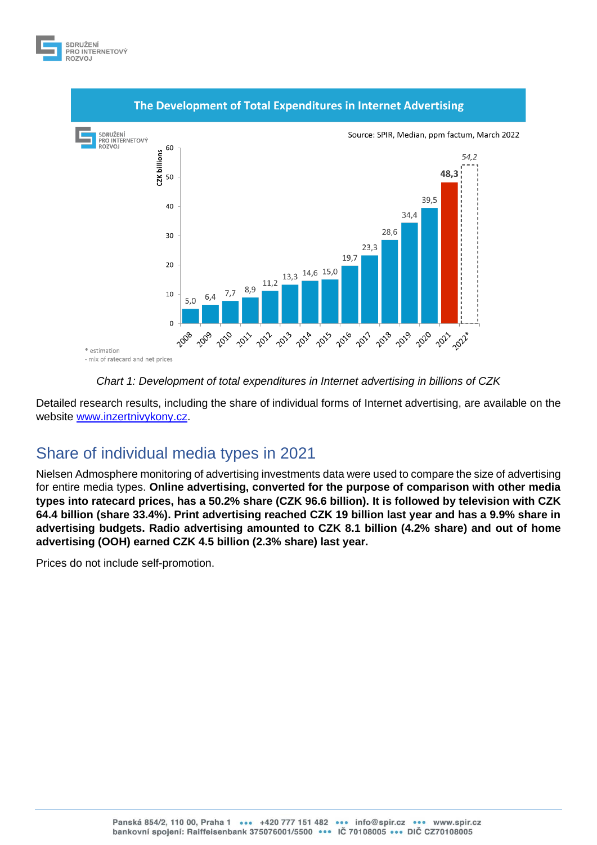



### *Chart 1: Development of total expenditures in Internet advertising in billions of CZK*

Detailed research results, including the share of individual forms of Internet advertising, are available on the website [www.inzertnivykony.cz.](http://www.inzertnivykony.cz/)

## Share of individual media types in 2021

Nielsen Admosphere monitoring of advertising investments data were used to compare the size of advertising for entire media types. **Online advertising, converted for the purpose of comparison with other media types into ratecard prices, has a 50.2% share (CZK 96.6 billion). It is followed by television with CZK 64.4 billion (share 33.4%). Print advertising reached CZK 19 billion last year and has a 9.9% share in advertising budgets. Radio advertising amounted to CZK 8.1 billion (4.2% share) and out of home advertising (OOH) earned CZK 4.5 billion (2.3% share) last year.**

Prices do not include self-promotion.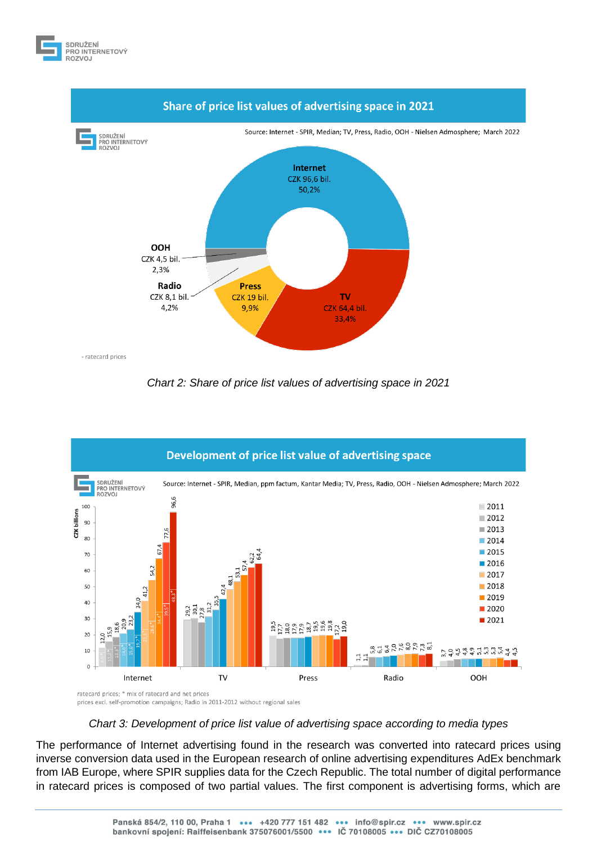



*Chart 2: Share of price list values of advertising space in 2021*



prices excl. self-promotion campaigns; Radio in 2011-2012 without regional sales

#### *Chart 3: Development of price list value of advertising space according to media types*

The performance of Internet advertising found in the research was converted into ratecard prices using inverse conversion data used in the European research of online advertising expenditures AdEx benchmark from IAB Europe, where SPIR supplies data for the Czech Republic. The total number of digital performance in ratecard prices is composed of two partial values. The first component is advertising forms, which are